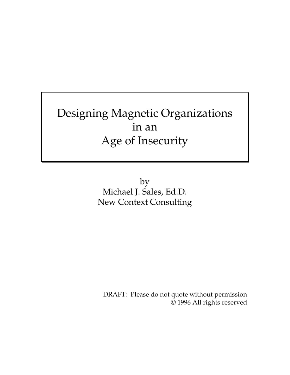# Designing Magnetic Organizations in an Age of Insecurity

by Michael J. Sales, Ed.D. New Context Consulting

DRAFT: Please do not quote without permission © 1996 All rights reserved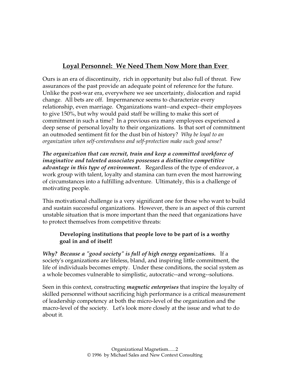## **Loyal Personnel: We Need Them Now More than Ever**

Ours is an era of discontinuity, rich in opportunity but also full of threat. Few assurances of the past provide an adequate point of reference for the future. Unlike the post-war era, everywhere we see uncertainty, dislocation and rapid change. All bets are off. Impermanence seems to characterize every relationship, even marriage. Organizations want--and expect--their employees to give 150%, but why would paid staff be willing to make this sort of commitment in such a time? In a previous era many employees experienced a deep sense of personal loyalty to their organizations. Is that sort of commitment an outmoded sentiment fit for the dust bin of history? *Why be loyal to an organization when self-centeredness and self-protection make such good sense?* 

*The organization that can recruit, train and keep a committed workforce of imaginative and talented associates possesses a distinctive competitive advantage in this type of environment.* Regardless of the type of endeavor, a work group with talent, loyalty and stamina can turn even the most harrowing of circumstances into a fulfilling adventure. Ultimately, this is a challenge of motivating people.

This motivational challenge is a very significant one for those who want to build and sustain successful organizations. However, there is an aspect of this current unstable situation that is more important than the need that organizations have to protect themselves from competitive threats:

#### **Developing institutions that people love to be part of is a worthy goal in and of itself!**

*Why? Because a "good society" is full of high energy organizations.* If a society's organizations are lifeless, bland, and inspiring little commitment, the life of individuals becomes empty. Under these conditions, the social system as a whole becomes vulnerable to simplistic, autocratic--and wrong--solutions.

Seen in this context, constructing *magnetic enterprises* that inspire the loyalty of skilled personnel without sacrificing high performance is a critical measurement of leadership competency at both the micro-level of the organization and the macro-level of the society. Let's look more closely at the issue and what to do about it.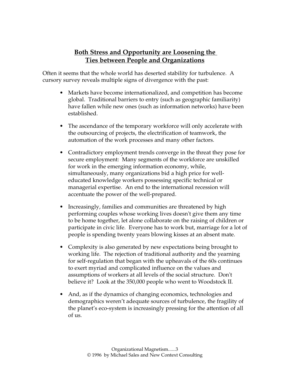## **Both Stress and Opportunity are Loosening the Ties between People and Organizations**

Often it seems that the whole world has deserted stability for turbulence. A cursory survey reveals multiple signs of divergence with the past:

- Markets have become internationalized, and competition has become global. Traditional barriers to entry (such as geographic familiarity) have fallen while new ones (such as information networks) have been established.
- The ascendance of the temporary workforce will only accelerate with the outsourcing of projects, the electrification of teamwork, the automation of the work processes and many other factors.
- Contradictory employment trends converge in the threat they pose for secure employment: Many segments of the workforce are unskilled for work in the emerging information economy, while, simultaneously, many organizations bid a high price for welleducated knowledge workers possessing specific technical or managerial expertise. An end to the international recession will accentuate the power of the well-prepared.
- Increasingly, families and communities are threatened by high performing couples whose working lives doesn't give them any time to be home together, let alone collaborate on the raising of children or participate in civic life. Everyone has to work but, marriage for a lot of people is spending twenty years blowing kisses at an absent mate.
- Complexity is also generated by new expectations being brought to working life. The rejection of traditional authority and the yearning for self-regulation that began with the upheavals of the 60s continues to exert myriad and complicated influence on the values and assumptions of workers at all levels of the social structure. Don't believe it? Look at the 350,000 people who went to Woodstock II.
- And, as if the dynamics of changing economics, technologies and demographics weren't adequate sources of turbulence, the fragility of the planet's eco-system is increasingly pressing for the attention of all of us.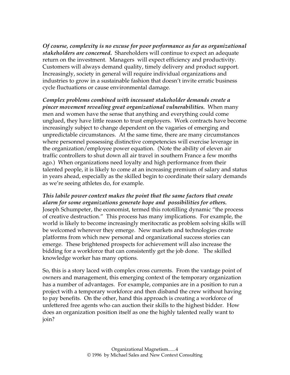*Of course, complexity is no excuse for poor performance as far as organizational stakeholders are concerned.* Shareholders will continue to expect an adequate return on the investment. Managers will expect efficiency and productivity. Customers will always demand quality, timely delivery and product support. Increasingly, society in general will require individual organizations and industries to grow in a sustainable fashion that doesn't invite erratic business cycle fluctuations or cause environmental damage.

*Complex problems combined with incessant stakeholder demands create a pincer movement revealing great organizational vulnerabilities.* When many men and women have the sense that anything and everything could come unglued, they have little reason to trust employers. Work contracts have become increasingly subject to change dependent on the vagaries of emerging and unpredictable circumstances. At the same time, there are many circumstances where personnel possessing distinctive competencies will exercise leverage in the organization/employee power equation. (Note the ability of eleven air traffic controllers to shut down all air travel in southern France a few months ago.) When organizations need loyalty and high performance from their talented people, it is likely to come at an increasing premium of salary and status in years ahead, especially as the skilled begin to coordinate their salary demands as we're seeing athletes do, for example.

*This labile power context makes the point that the same factors that create alarm for some organizations generate hope and possibilities for others.*  Joseph Schumpeter, the economist, termed this rototilling dynamic "the process of creative destruction." This process has many implications. For example, the world is likely to become increasingly meritocratic as problem solving skills will be welcomed wherever they emerge. New markets and technologies create platforms from which new personal and organizational success stories can emerge. These brightened prospects for achievement will also increase the bidding for a workforce that can consistently get the job done. The skilled knowledge worker has many options.

So, this is a story laced with complex cross currents. From the vantage point of owners and management, this emerging context of the temporary organization has a number of advantages. For example, companies are in a position to run a project with a temporary workforce and then disband the crew without having to pay benefits. On the other, hand this approach is creating a workforce of unfettered free agents who can auction their skills to the highest bidder. How does an organization position itself as one the highly talented really want to join?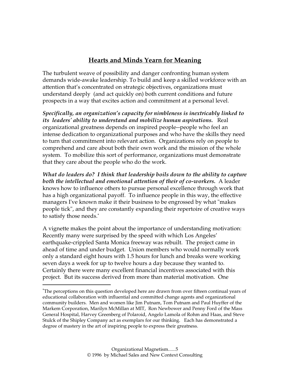## **Hearts and Minds Yearn for Meaning**

The turbulent weave of possibility and danger confronting human system demands wide-awake leadership. To build and keep a skilled workforce with an attention that's concentrated on strategic objectives, organizations must understand deeply (and act quickly on) both current conditions and future prospects in a way that excites action and commitment at a personal level.

*Specifically, an organization's capacity for nimbleness is inextricably linked to its leaders' ability to understand and mobilize human aspirations.* Real organizational greatness depends on inspired people--people who feel an intense dedication to organizational purposes and who have the skills they need to turn that commitment into relevant action. Organizations rely on people to comprehend and care about both their own work and the mission of the whole system. To mobilize this sort of performance, organizations must demonstrate that they care about the people who do the work.

*What do leaders do? I think that leadership boils down to the ability to capture both the intellectual and emotional attention of their of co-workers.* A leader knows how to influence others to pursue personal excellence through work that has a high organizational payoff. To influence people in this way, the effective managers I've known make it their business to be engrossed by what "makes people tick", and they are constantly expanding their repertoire of creative ways to satisfy those needs.\*

A vignette makes the point about the importance of understanding motivation: Recently many were surprised by the speed with which Los Angeles' earthquake-crippled Santa Monica freeway was rebuilt. The project came in ahead of time and under budget. Union members who would normally work only a standard eight hours with 1.5 hours for lunch and breaks were working seven days a week for up to twelve hours a day because they wanted to. Certainly there were many excellent financial incentives associated with this project. But its success derived from more than material motivation. One

 $\overline{a}$ 

<sup>\*</sup>The perceptions on this question developed here are drawn from over fifteen continual years of educational collaboration with influential and committed change agents and organizational community builders. Men and women like Jim Putnam, Tom Putnam and Paul Huyffer of the Markem Corporation, Marilyn McMillan at MIT, Ron Newbower and Penny Ford of the Mass General Hospital, Harvey Greenberg of Polaroid, Angelo Lamola of Rohm and Haas, and Steve Stulck of the Shipley Company act as exemplars for our thinking. Each has demonstrated a degree of mastery in the art of inspiring people to express their greatness.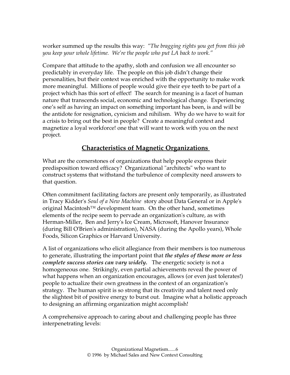worker summed up the results this way: *"The bragging rights you get from this job you keep your whole lifetime. We're the people who put LA back to work."* 

Compare that attitude to the apathy, sloth and confusion we all encounter so predictably in everyday life. The people on this job didn't change their personalities, but their context was enriched with the opportunity to make work more meaningful. Millions of people would give their eye teeth to be part of a project which has this sort of effect! The search for meaning is a facet of human nature that transcends social, economic and technological change. Experiencing one's self as having an impact on something important has been, is and will be the antidote for resignation, cynicism and nihilism. Why do we have to wait for a crisis to bring out the best in people? Create a meaningful context and magnetize a loyal workforce! one that will want to work with you on the next project.

## **Characteristics of Magnetic Organizations**

What are the cornerstones of organizations that help people express their predisposition toward efficacy? Organizational "architects" who want to construct systems that withstand the turbulence of complexity need answers to that question.

Often commitment facilitating factors are present only temporarily, as illustrated in Tracy Kidder's *Soul of a New Machine* story about Data General or in Apple's original Macintosh<sup>™</sup> development team. On the other hand, sometimes elements of the recipe seem to pervade an organization's culture, as with Herman-Miller, Ben and Jerry's Ice Cream, Microsoft, Hanover Insurance (during Bill O'Brien's administration), NASA (during the Apollo years), Whole Foods, Silicon Graphics or Harvard University.

A list of organizations who elicit allegiance from their members is too numerous to generate, illustrating the important point that *the styles of these more or less complete success stories can vary widely.* The energetic society is not a homogeneous one. Strikingly, even partial achievements reveal the power of what happens when an organization encourages, allows (or even just tolerates!) people to actualize their own greatness in the context of an organization's strategy. The human spirit is so strong that its creativity and talent need only the slightest bit of positive energy to burst out. Imagine what a holistic approach to designing an affirming organization might accomplish!

A comprehensive approach to caring about and challenging people has three interpenetrating levels: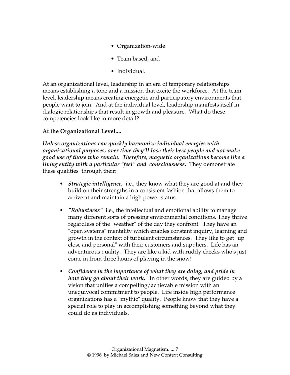- Organization-wide
- Team based, and
- Individual.

At an organizational level, leadership in an era of temporary relationships means establishing a tone and a mission that excite the workforce. At the team level, leadership means creating energetic and participatory environments that people want to join. And at the individual level, leadership manifests itself in dialogic relationships that result in growth and pleasure. What do these competencies look like in more detail?

#### **At the Organizational Level....**

*Unless organizations can quickly harmonize individual energies with organizational purposes, over time they'll lose their best people and not make good use of those who remain. Therefore, magnetic organizations become like a living entity with a particular "feel" and consciousness.* They demonstrate these qualities through their:

- • *Strategic intelligence,* i.e., they know what they are good at and they build on their strengths in a consistent fashion that allows them to arrive at and maintain a high power status.
- *"Robustness"* i.e., the intellectual and emotional ability to manage many different sorts of pressing environmental conditions. They thrive regardless of the "weather" of the day they confront. They have an "open systems" mentality which enables constant inquiry, learning and growth in the context of turbulent circumstances. They like to get "up close and personal" with their customers and suppliers. Life has an adventurous quality. They are like a kid with ruddy cheeks who's just come in from three hours of playing in the snow!
- *Confidence in the importance of what they are doing, and pride in how they go about their work.* In other words, they are guided by a vision that unifies a compelling/achievable mission with an unequivocal commitment to people. Life inside high performance organizations has a "mythic" quality. People know that they have a special role to play in accomplishing something beyond what they could do as individuals.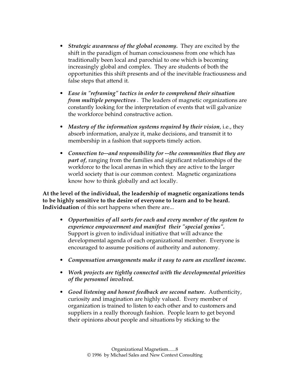- *Strategic awareness of the global economy.* They are excited by the shift in the paradigm of human consciousness from one which has traditionally been local and parochial to one which is becoming increasingly global and complex. They are students of both the opportunities this shift presents and of the inevitable fractiousness and false steps that attend it.
- *Ease in "reframing" tactics in order to comprehend their situation from multiple perspectives* . The leaders of magnetic organizations are constantly looking for the interpretation of events that will galvanize the workforce behind constructive action.
- *Mastery of the information systems required by their vision*, i.e., they absorb information, analyze it, make decisions, and transmit it to membership in a fashion that supports timely action.
- *Connection to--and responsibility for --the communities that they are part of*, ranging from the families and significant relationships of the workforce to the local arenas in which they are active to the larger world society that is our common context. Magnetic organizations know how to think globally and act locally.

**At the level of the individual, the leadership of magnetic organizations tends to be highly sensitive to the desire of everyone to learn and to be heard. Individuation** of this sort happens when there are...

- *Opportunities of all sorts for each and every member of the system to experience empowerment and manifest their "special genius".* Support is given to individual initiative that will advance the developmental agenda of each organizational member. Everyone is encouraged to assume positions of authority and autonomy.
- *Compensation arrangements make it easy to earn an excellent income.*
- *Work projects are tightly connected with the developmental priorities of the personnel involved.*
- *Good listening and honest feedback are second nature.* Authenticity, curiosity and imagination are highly valued. Every member of organization is trained to listen to each other and to customers and suppliers in a really thorough fashion. People learn to get beyond their opinions about people and situations by sticking to the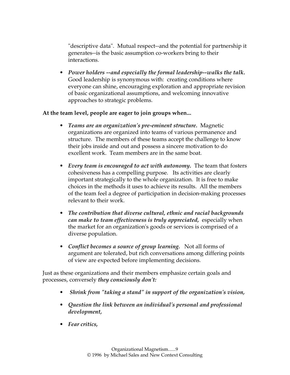"descriptive data". Mutual respect--and the potential for partnership it generates--is the basic assumption co-workers bring to their interactions.

• *Power holders --and especially the formal leadership--walks the talk.*  Good leadership is synonymous with: creating conditions where everyone can shine, encouraging exploration and appropriate revision of basic organizational assumptions, and welcoming innovative approaches to strategic problems.

#### **At the team level, people are eager to join groups when...**

- *Teams are an organization's pre-eminent structure.* Magnetic organizations are organized into teams of various permanence and structure. The members of these teams accept the challenge to know their jobs inside and out and possess a sincere motivation to do excellent work. Team members are in the same boat.
- *Every team is encouraged to act with autonomy.* The team that fosters cohesiveness has a compelling purpose. Its activities are clearly important strategically to the whole organization. It is free to make choices in the methods it uses to achieve its results. All the members of the team feel a degree of participation in decision-making processes relevant to their work.
- *The contribution that diverse cultural, ethnic and racial backgrounds can make to team effectiveness is truly appreciated,* especially when the market for an organization's goods or services is comprised of a diverse population.
- *Conflict becomes a source of group learning.* Not all forms of argument are tolerated, but rich conversations among differing points of view are expected before implementing decisions.

Just as these organizations and their members emphasize certain goals and processes, conversely *they consciously don't:*

- *Shrink from "taking a stand" in support of the organization's vision,*
- *Question the link between an individual's personal and professional development,*
- *Fear critics,*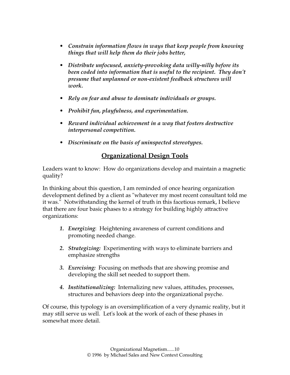- *Constrain information flows in ways that keep people from knowing things that will help them do their jobs better,*
- *Distribute unfocused, anxiety-provoking data willy-nilly before its been coded into information that is useful to the recipient. They don't presume that unplanned or non-existent feedback structures will work.*
- *Rely on fear and abuse to dominate individuals or groups.*
- *Prohibit fun, playfulness, and experimentation.*
- *Reward individual achievement in a way that fosters destructive interpersonal competition.*
- *Discriminate on the basis of uninspected stereotypes.*

#### **Organizational Design Tools**

Leaders want to know: How do organizations develop and maintain a magnetic quality?

In thinking about this question, I am reminded of once hearing organization development defined by a client as "whatever my most recent consultant told me it was." Notwithstanding the kernel of truth in this facetious remark, I believe that there are four basic phases to a strategy for building highly attractive organizations:

- *1. Energizing*: Heightening awareness of current conditions and promoting needed change.
- *2. Strategizing:* Experimenting with ways to eliminate barriers and emphasize strengths
- *3. Exercising:* Focusing on methods that are showing promise and developing the skill set needed to support them.
- *4. Institutionalizing:* Internalizing new values, attitudes, processes, structures and behaviors deep into the organizational psyche.

Of course, this typology is an oversimplification of a very dynamic reality, but it may still serve us well. Let's look at the work of each of these phases in somewhat more detail.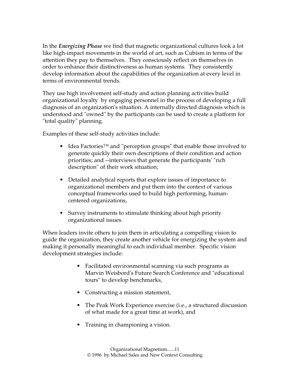In the *Energizing Phase* we find that magnetic organizational cultures look a lot like high-impact movements in the world of art, such as Cubism in terms of the attention they pay to themselves. They consciously reflect on themselves in order to enhance their distinctiveness as human systems. They consistently develop information about the capabilities of the organization at every level in terms of environmental trends.

They use high involvement self-study and action planning activities build organizational loyalty by engaging personnel in the process of developing a full diagnosis of an organization's situation. A internally directed diagnosis which is understood and "owned" by the participants can be used to create a platform for "total quality" planning.

Examples of these self-study activities include:

- Idea Factories™ and "perception groups" that enable those involved to generate quickly their own descriptions of their condition and action priorities; and --interviews that generate the participants' "rich description" of their work situation;
- Detailed analytical reports that explore issues of importance to organizational members and put them into the context of various conceptual frameworks used to build high performing, humancentered organizations,
- Survey instruments to stimulate thinking about high priority organizational issues.

When leaders invite others to join them in articulating a compelling vision to guide the organization, they create another vehicle for energizing the system and making it personally meaningful to each individual member. Specific vision development strategies include:

- Facilitated environmental scanning via such programs as Marvin Weisbord's Future Search Conference and "educational tours" to develop benchmarks,
- Constructing a mission statement,
- The Peak Work Experience exercise (i.e., a structured discussion of what made for a great time at work), and
- Training in championing a vision.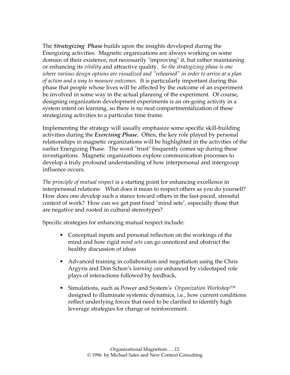The *Strategizing Phase* builds upon the insights developed during the Energizing activities. Magnetic organizations are always working on some domain of their existence, not necessarily "improving" it, but rather maintaining or enhancing its *vitality* and attractive quality. *So the strategizing phase is one where various design options are visualized and "rehearsed" in order to arrive at a plan of action and a way to measure outcomes.* It is particularly important during this phase that people whose lives will be affected by the outcome of an experiment be involved in some way in the actual planning of the experiment. Of course, designing organization development experiments is an on-going activity in a system intent on learning, so there is no neat compartmentalization of these strategizing activities to a particular time frame.

Implementing the strategy will usually emphasize some specific skill-building activities during the *Exercising Phase.* Often, the key role played by personal relationships in magnetic organizations will be highlighted in the activities of the earlier Energizing Phase. The word "trust" frequently comes up during these investigations. Magnetic organizations explore communication processes to develop a truly profound understanding of how interpersonal and intergroup influence occurs.

*The principle of mutual respect* is a starting point for enhancing excellence in interpersonal relations: What does it mean to respect others as you do yourself? How does one develop such a stance toward others in the fast-paced, stressful context of work? How can we get past fixed "mind sets", especially those that are negative and rooted in cultural stereotypes?

Specific strategies for enhancing mutual respect include:

- Conceptual inputs and personal reflection on the workings of the mind and how rigid *mind sets* can go unnoticed and obstruct the healthy discussion of ideas
- Advanced training in collaboration and negotiation using the Chris Argyris and Don Schon's *learning case* enhanced by videotaped role plays of interactions followed by feedback,
- Simulations, such as Power and System's *Organization Workshop™*  designed to illuminate systemic dynamics, i.e., how current conditions reflect underlying forces that need to be clarified to identify high leverage strategies for change or reinforcement.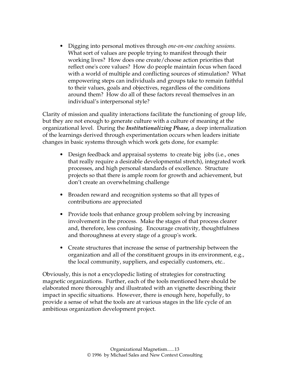• Digging into personal motives through *one-on-one coaching sessions.*  What sort of values are people trying to manifest through their working lives? How does one create/choose action priorities that reflect one's core values? How do people maintain focus when faced with a world of multiple and conflicting sources of stimulation? What empowering steps can individuals and groups take to remain faithful to their values, goals and objectives, regardless of the conditions around them? How do all of these factors reveal themselves in an individual's interpersonal style?

Clarity of mission and quality interactions facilitate the functioning of group life, but they are not enough to generate culture with a culture of meaning at the organizational level. During the *Institutionalizing Phase,* a deep internalization of the learnings derived through experimentation occurs when leaders initiate changes in basic systems through which work gets done, for example:

- Design feedback and appraisal systems to create big jobs (i.e., ones that really require a desirable developmental stretch), integrated work processes, and high personal standards of excellence. Structure projects so that there is ample room for growth and achievement, but don't create an overwhelming challenge
- Broaden reward and recognition systems so that all types of contributions are appreciated
- Provide tools that enhance group problem solving by increasing involvement in the process. Make the stages of that process clearer and, therefore, less confusing. Encourage creativity, thoughtfulness and thoroughness at every stage of a group's work.
- Create structures that increase the sense of partnership between the organization and all of the constituent groups in its environment, e.g., the local community, suppliers, and especially customers, etc..

Obviously, this is not a encyclopedic listing of strategies for constructing magnetic organizations. Further, each of the tools mentioned here should be elaborated more thoroughly and illustrated with an vignette describing their impact in specific situations. However, there is enough here, hopefully, to provide a sense of what the tools are at various stages in the life cycle of an ambitious organization development project.